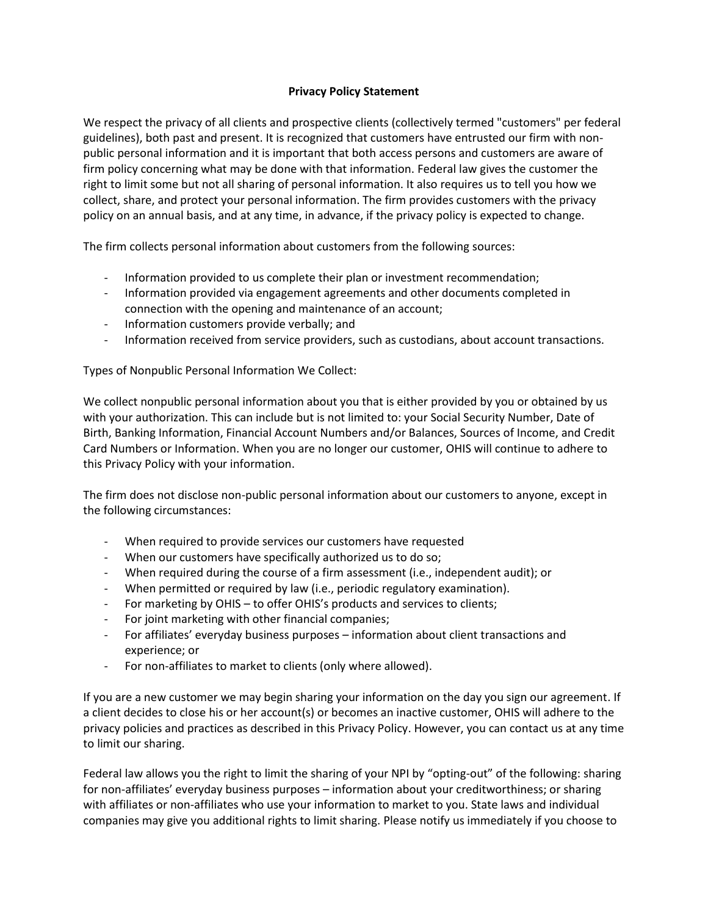## **Privacy Policy Statement**

We respect the privacy of all clients and prospective clients (collectively termed "customers" per federal guidelines), both past and present. It is recognized that customers have entrusted our firm with nonpublic personal information and it is important that both access persons and customers are aware of firm policy concerning what may be done with that information. Federal law gives the customer the right to limit some but not all sharing of personal information. It also requires us to tell you how we collect, share, and protect your personal information. The firm provides customers with the privacy policy on an annual basis, and at any time, in advance, if the privacy policy is expected to change.

The firm collects personal information about customers from the following sources:

- Information provided to us complete their plan or investment recommendation;
- Information provided via engagement agreements and other documents completed in connection with the opening and maintenance of an account;
- Information customers provide verbally; and
- Information received from service providers, such as custodians, about account transactions.

Types of Nonpublic Personal Information We Collect:

We collect nonpublic personal information about you that is either provided by you or obtained by us with your authorization. This can include but is not limited to: your Social Security Number, Date of Birth, Banking Information, Financial Account Numbers and/or Balances, Sources of Income, and Credit Card Numbers or Information. When you are no longer our customer, OHIS will continue to adhere to this Privacy Policy with your information.

The firm does not disclose non-public personal information about our customers to anyone, except in the following circumstances:

- When required to provide services our customers have requested
- When our customers have specifically authorized us to do so;
- When required during the course of a firm assessment (i.e., independent audit); or
- When permitted or required by law (i.e., periodic regulatory examination).
- For marketing by OHIS to offer OHIS's products and services to clients;
- For joint marketing with other financial companies;
- For affiliates' everyday business purposes information about client transactions and experience; or
- For non-affiliates to market to clients (only where allowed).

If you are a new customer we may begin sharing your information on the day you sign our agreement. If a client decides to close his or her account(s) or becomes an inactive customer, OHIS will adhere to the privacy policies and practices as described in this Privacy Policy. However, you can contact us at any time to limit our sharing.

Federal law allows you the right to limit the sharing of your NPI by "opting-out" of the following: sharing for non-affiliates' everyday business purposes – information about your creditworthiness; or sharing with affiliates or non-affiliates who use your information to market to you. State laws and individual companies may give you additional rights to limit sharing. Please notify us immediately if you choose to